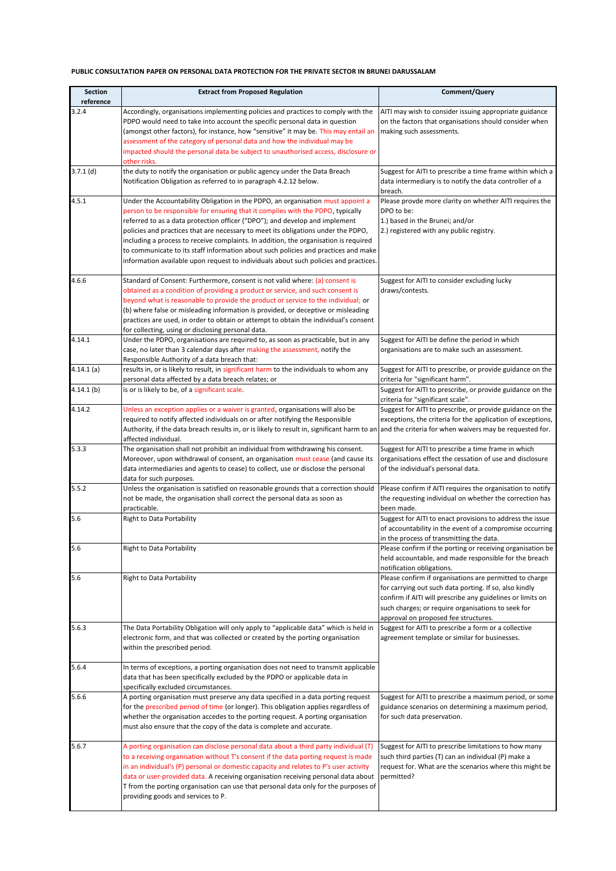## **PUBLIC CONSULTATION PAPER ON PERSONAL DATA PROTECTION FOR THE PRIVATE SECTOR IN BRUNEI DARUSSALAM**

| <b>Section</b><br>reference | <b>Extract from Proposed Regulation</b>                                                                                                                                                                                                                                                                                                                                                                                                                                                                                                                                                                      | Comment/Query                                                                                                                                                                                                                                                                 |
|-----------------------------|--------------------------------------------------------------------------------------------------------------------------------------------------------------------------------------------------------------------------------------------------------------------------------------------------------------------------------------------------------------------------------------------------------------------------------------------------------------------------------------------------------------------------------------------------------------------------------------------------------------|-------------------------------------------------------------------------------------------------------------------------------------------------------------------------------------------------------------------------------------------------------------------------------|
| 3.2.4                       | Accordingly, organisations implementing policies and practices to comply with the<br>PDPO would need to take into account the specific personal data in question<br>(amongst other factors), for instance, how "sensitive" it may be. This may entail an<br>assessment of the category of personal data and how the individual may be<br>impacted should the personal data be subject to unauthorised access, disclosure or<br>other risks.                                                                                                                                                                  | AITI may wish to consider issuing appropriate guidance<br>on the factors that organisations should consider when<br>making such assessments.                                                                                                                                  |
| $3.7.1$ (d)                 | the duty to notify the organisation or public agency under the Data Breach<br>Notification Obligation as referred to in paragraph 4.2.12 below.                                                                                                                                                                                                                                                                                                                                                                                                                                                              | Suggest for AITI to prescribe a time frame within which a<br>data intermediary is to notify the data controller of a<br>breach.                                                                                                                                               |
| 4.5.1                       | Under the Accountability Obligation in the PDPO, an organisation must appoint a<br>person to be responsible for ensuring that it complies with the PDPO, typically<br>referred to as a data protection officer ("DPO"); and develop and implement<br>policies and practices that are necessary to meet its obligations under the PDPO,<br>including a process to receive complaints. In addition, the organisation is required<br>to communicate to its staff information about such policies and practices and make<br>information available upon request to individuals about such policies and practices. | Please provde more clarity on whether AITI requires the<br>DPO to be:<br>1.) based in the Brunei; and/or<br>2.) registered with any public registry.                                                                                                                          |
| 4.6.6                       | Standard of Consent: Furthermore, consent is not valid where: (a) consent is<br>obtained as a condition of providing a product or service, and such consent is<br>beyond what is reasonable to provide the product or service to the individual; or<br>(b) where false or misleading information is provided, or deceptive or misleading<br>practices are used, in order to obtain or attempt to obtain the individual's consent<br>for collecting, using or disclosing personal data.                                                                                                                       | Suggest for AITI to consider excluding lucky<br>draws/contests.                                                                                                                                                                                                               |
| 4.14.1                      | Under the PDPO, organisations are required to, as soon as practicable, but in any<br>case, no later than 3 calendar days after making the assessment, notify the<br>Responsible Authority of a data breach that:                                                                                                                                                                                                                                                                                                                                                                                             | Suggest for AITI be define the period in which<br>organisations are to make such an assessment.                                                                                                                                                                               |
| 4.14.1(a)                   | results in, or is likely to result, in significant harm to the individuals to whom any<br>personal data affected by a data breach relates; or                                                                                                                                                                                                                                                                                                                                                                                                                                                                | Suggest for AITI to prescribe, or provide guidance on the<br>criteria for "significant harm".                                                                                                                                                                                 |
| 4.14.1(b)                   | is or is likely to be, of a significant scale.                                                                                                                                                                                                                                                                                                                                                                                                                                                                                                                                                               | Suggest for AITI to prescribe, or provide guidance on the<br>criteria for "significant scale".                                                                                                                                                                                |
| 4.14.2                      | Unless an exception applies or a waiver is granted, organisations will also be<br>required to notify affected individuals on or after notifying the Responsible<br>Authority, if the data breach results in, or is likely to result in, significant harm to an and the criteria for when waivers may be requested for.<br>affected individual.                                                                                                                                                                                                                                                               | Suggest for AITI to prescribe, or provide guidance on the<br>exceptions, the criteria for the application of exceptions,                                                                                                                                                      |
| 5.3.3                       | The organisation shall not prohibit an individual from withdrawing his consent.<br>Moreover, upon withdrawal of consent, an organisation must cease (and cause its<br>data intermediaries and agents to cease) to collect, use or disclose the personal<br>data for such purposes.                                                                                                                                                                                                                                                                                                                           | Suggest for AITI to prescribe a time frame in which<br>organisations effect the cessation of use and disclosure<br>of the individual's personal data.                                                                                                                         |
| 5.5.2                       | Unless the organisation is satisfied on reasonable grounds that a correction should<br>not be made, the organisation shall correct the personal data as soon as<br>practicable.                                                                                                                                                                                                                                                                                                                                                                                                                              | Please confirm if AITI requires the organisation to notify<br>the requesting individual on whether the correction has<br>been made.                                                                                                                                           |
| 5.6                         | <b>Right to Data Portability</b>                                                                                                                                                                                                                                                                                                                                                                                                                                                                                                                                                                             | Suggest for AITI to enact provisions to address the issue<br>of accountability in the event of a compromise occurring<br>in the process of transmitting the data.                                                                                                             |
| 5.6                         | Right to Data Portability                                                                                                                                                                                                                                                                                                                                                                                                                                                                                                                                                                                    | Please confirm if the porting or receiving organisation be<br>held accountable, and made responsible for the breach<br>notification obligations.                                                                                                                              |
| 5.6                         | <b>Right to Data Portability</b>                                                                                                                                                                                                                                                                                                                                                                                                                                                                                                                                                                             | Please confirm if organisations are permitted to charge<br>for carrying out such data porting. If so, also kindly<br>confirm if AITI will prescribe any guidelines or limits on<br>such charges; or require organisations to seek for<br>approval on proposed fee structures. |
| 5.6.3                       | The Data Portability Obligation will only apply to "applicable data" which is held in<br>electronic form, and that was collected or created by the porting organisation<br>within the prescribed period.                                                                                                                                                                                                                                                                                                                                                                                                     | Suggest for AITI to prescribe a form or a collective<br>agreement template or similar for businesses.                                                                                                                                                                         |
| 5.6.4                       | In terms of exceptions, a porting organisation does not need to transmit applicable<br>data that has been specifically excluded by the PDPO or applicable data in<br>specifically excluded circumstances.                                                                                                                                                                                                                                                                                                                                                                                                    |                                                                                                                                                                                                                                                                               |
| 5.6.6                       | A porting organisation must preserve any data specified in a data porting request<br>for the prescribed period of time (or longer). This obligation applies regardless of<br>whether the organisation accedes to the porting request. A porting organisation<br>must also ensure that the copy of the data is complete and accurate.                                                                                                                                                                                                                                                                         | Suggest for AITI to prescribe a maximum period, or some<br>guidance scenarios on determining a maximum period,<br>for such data preservation.                                                                                                                                 |
| 5.6.7                       | A porting organisation can disclose personal data about a third party individual (T)<br>to a receiving organisation without T's consent if the data porting request is made<br>in an individual's (P) personal or domestic capacity and relates to P's user activity<br>data or user-provided data. A receiving organisation receiving personal data about<br>T from the porting organisation can use that personal data only for the purposes of<br>providing goods and services to P.                                                                                                                      | Suggest for AITI to prescribe limitations to how many<br>such third parties (T) can an individual (P) make a<br>request for. What are the scenarios where this might be<br>permitted?                                                                                         |